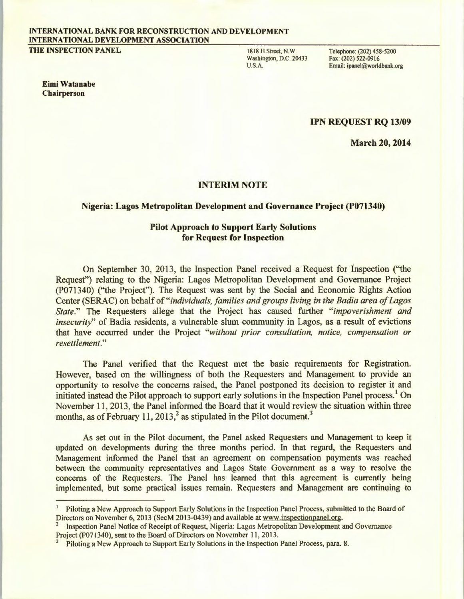# INTERNATIONAL BANK FOR RECONSTRUCTION AND DEVELOPMENT INTERNATIONAL DEVELOPMENT ASSOCIATION

THE INSPECTION PANEL

1818 H Street, N.W. Washington, D.C. 20433 U.S.A.

Telephone: (202) 458-5200 Fax: (202) 522-0916 Email: ipanel@worldbank.org

### Eimi Watanabe Chairperson

lPN REQUEST RQ 13/09

March 20, 2014

### INTERIM NOTE

#### Nigeria: Lagos Metropolitan Development and Governance Project (P071340)

# Pilot Approach to Support Early Solutions for Request for Inspection

On September 30, 2013, the Inspection Panel received a Request for Inspection ("the Request") relating to the Nigeria: Lagos Metropolitan Development and Governance Project (P071340) ("the Project"). The Request was sent by the Social and Economic Rights Action Center (SERAC) on behalf of "*individuals, families and groups living in the Badia area of Lagos State."* The Requesters allege that the Project has caused further *"impoverishment and insecurity*" of Badia residents, a vulnerable slum community in Lagos, as a result of evictions that have occurred under the Project *"without prior consultation, notice, compensation or resettlement."* 

The Panel verified that the Request met the basic requirements for Registration. However, based on the willingness of both the Requesters and Management to provide an opportunity to resolve the concerns raised, the Panel postponed its decision to register it and initiated instead the Pilot approach to support early solutions in the Inspection Panel process.<sup>1</sup> On November 11, 2013, the Panel informed the Board that it would review the situation within three months, as of February 11, 2013,<sup>2</sup> as stipulated in the Pilot document.<sup>3</sup>

As set out in the Pilot document, the Panel asked Requesters and Management to keep it updated on developments during the three months period. In that regard, the Requesters and Management informed the Panel that an agreement on compensation payments was reached between the community representatives and Lagos State Government as a way to resolve the concerns of the Requesters. The Panel has learned that this agreement is currently being implemented, but some practical issues remain. Requesters and Management are continuing to

<sup>1</sup> Piloting a New Approach to Support Early Solutions in the Inspection Panel Process, submitted to the Board of

Directors on November 6, 2013 (SecM 2013-0439) and available at www.inspectionpanel.org.<br><sup>2</sup> Inspection Panel Notice of Receipt of Request, Nigeria: Lagos Metropolitan Development and Governance<br>Project (P071340), sent to

Piloting a New Approach to Support Early Solutions in the Inspection Panel Process, para. 8.